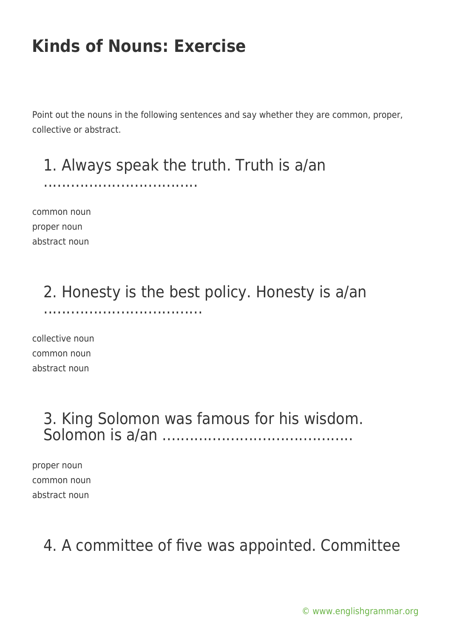Point out the nouns in the following sentences and say whether they are common, proper, collective or abstract.

#### 1. Always speak the truth. Truth is a/an

..................................

common noun proper noun abstract noun

#### 2. Honesty is the best policy. Honesty is a/an ...................................

collective noun common noun abstract noun

#### 3. King Solomon was famous for his wisdom. Solomon is a/an ..........................................

proper noun common noun abstract noun

#### 4. A committee of five was appointed. Committee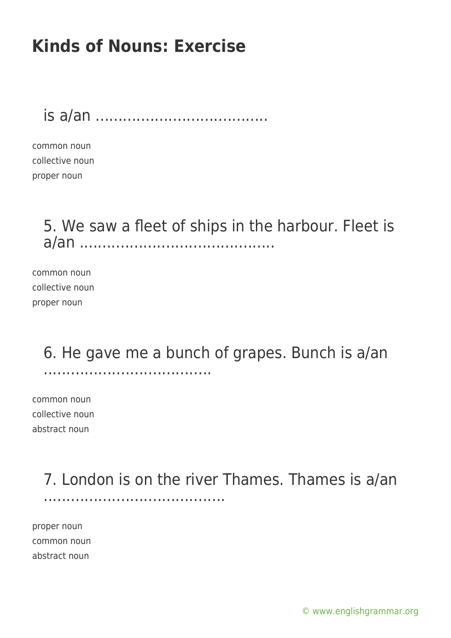is a/an ......................................

common noun collective noun proper noun

> 5. We saw a fleet of ships in the harbour. Fleet is a/an ...........................................

common noun collective noun proper noun

> 6. He gave me a bunch of grapes. Bunch is a/an .....................................

common noun collective noun abstract noun

> 7. London is on the river Thames. Thames is a/an ........................................

proper noun common noun abstract noun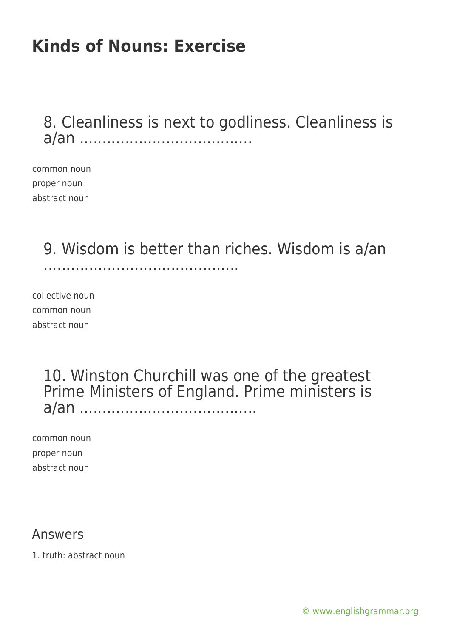8. Cleanliness is next to godliness. Cleanliness is a/an ......................................

common noun proper noun abstract noun

9. Wisdom is better than riches. Wisdom is a/an

...........................................

collective noun common noun abstract noun

#### 10. Winston Churchill was one of the greatest Prime Ministers of England. Prime ministers is a/an .......................................

common noun proper noun abstract noun

#### Answers

1. truth: abstract noun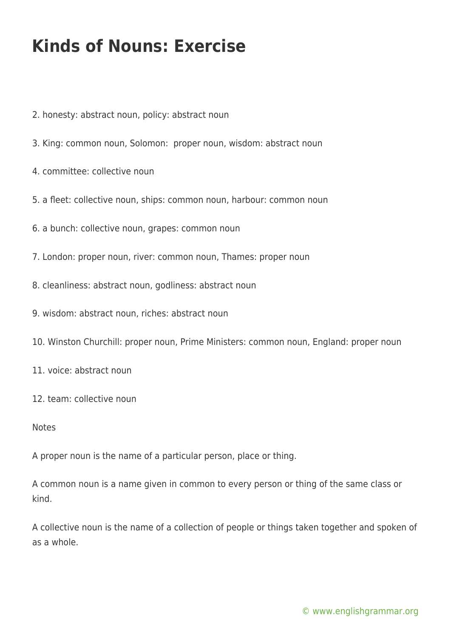- 2. honesty: abstract noun, policy: abstract noun
- 3. King: common noun, Solomon: proper noun, wisdom: abstract noun
- 4. committee: collective noun
- 5. a fleet: collective noun, ships: common noun, harbour: common noun
- 6. a bunch: collective noun, grapes: common noun
- 7. London: proper noun, river: common noun, Thames: proper noun
- 8. cleanliness: abstract noun, godliness: abstract noun
- 9. wisdom: abstract noun, riches: abstract noun
- 10. Winston Churchill: proper noun, Prime Ministers: common noun, England: proper noun
- 11. voice: abstract noun
- 12. team: collective noun

#### Notes

A proper noun is the name of a particular person, place or thing.

A common noun is a name given in common to every person or thing of the same class or kind.

A collective noun is the name of a collection of people or things taken together and spoken of as a whole.